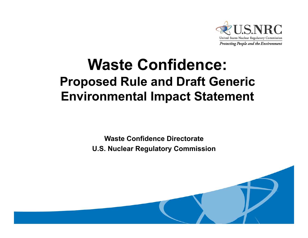

#### **Waste Confidence: Proposed Rule and Draft Generic Environmental Impact Statement**

**Waste Confidence Directorate**

**U.S. Nuclear Regulatory Commission**

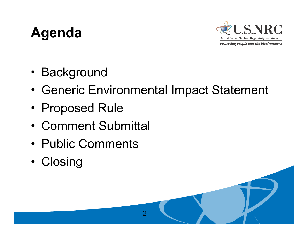#### **Agenda**



- Background
- •Generic Environmental Impact Statement

 $\overline{2}$ 

- Proposed Rule
- Comment Submittal
- Public Comments
- •• Closing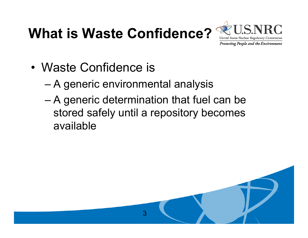# **What is Waste Confidence?**



- Waste Confidence is
	- A generic environmental analysis
	- A generic determination that fuel can be stored safely until a repository becomes available

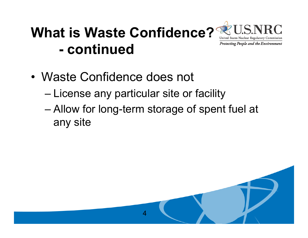#### **What is Waste Confidence?**United States Nuclear Regulatory Commission **Protecting People and the Environment - continued**

- Waste Confidence does not
	- License any particular site or facility
	- Allow for long-term storage of spent fuel at any site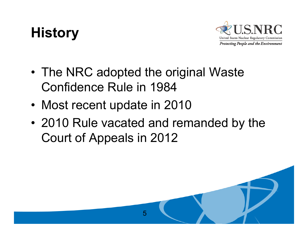# **History**



- •• The NRC adopted the original Waste Confidence Rule in 1984
- Most recent update in 2010
- 2010 Rule vacated and remanded by the Court of Appeals in 2012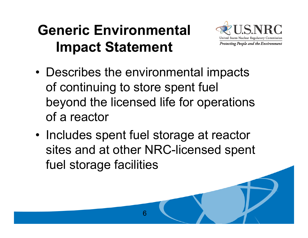#### **Generic Environmental lmpact Statement**



- Describes the environmental impacts of continuing to store spent fuel beyond the licensed life for operations of a reactor
- •• Includes spent fuel storage at reactor sites and at other NRC-licensed spent fuel storage facilities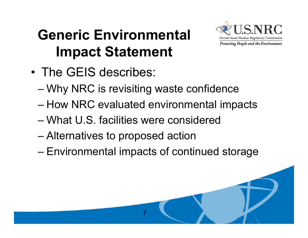# **Generic Environmental Impact Statement**



- The GEIS describes:
	- Why NRC is revisiting waste confidence
	- How NRC evaluated environmental impacts
	- What U.S. facilities were considered
	- Alternatives to proposed action
	- Environmental impacts of continued storage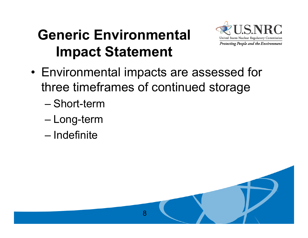# **Generic Environmental Impact Statement**



• Environmental impacts are assessed for three timeframes of continued storage

- Short -term
- Long-term
- Indefinite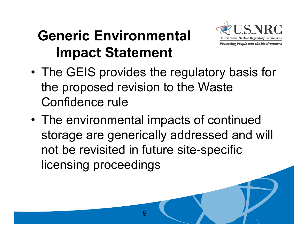# **Generic Environmental Impact Statement**



- •• The GEIS provides the regulatory basis for the proposed revision to the Waste Confidence rule
- • The environmental impacts of continued storage are generically addressed and will not be revisited in future site-specific licensing proceedings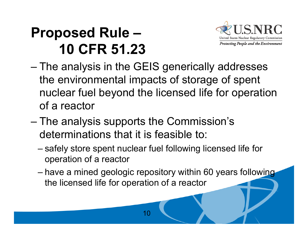#### **Proposed Rule – 10 CFR 51.23**



- The analysis in the GEIS generically addresses the environmental impacts of storage of spent nuclear fuel beyond the licensed life for operation of a reactor \_\_\_\_\_\_\_\_
- The analysis supports the Commission's determinations that it is feasible to:
	- – safely store spent nuclear fuel following licensed life for o peration of a reacto r

10

–have a mined geologic repository within 60 years following the licensed life for operation of a reactor